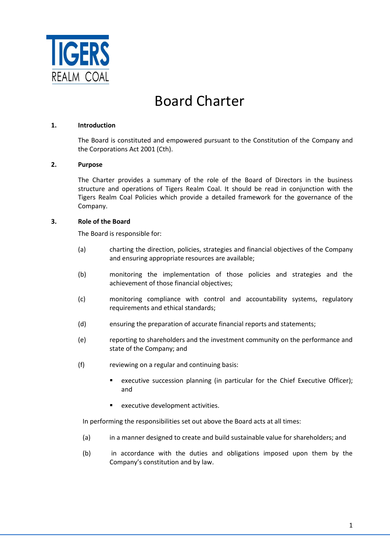

# Board Charter

# **1. Introduction**

The Board is constituted and empowered pursuant to the Constitution of the Company and the Corporations Act 2001 (Cth).

## **2. Purpose**

The Charter provides a summary of the role of the Board of Directors in the business structure and operations of Tigers Realm Coal. It should be read in conjunction with the Tigers Realm Coal Policies which provide a detailed framework for the governance of the Company.

## **3. Role of the Board**

The Board is responsible for:

- (a) charting the direction, policies, strategies and financial objectives of the Company and ensuring appropriate resources are available;
- (b) monitoring the implementation of those policies and strategies and the achievement of those financial objectives;
- (c) monitoring compliance with control and accountability systems, regulatory requirements and ethical standards;
- (d) ensuring the preparation of accurate financial reports and statements;
- (e) reporting to shareholders and the investment community on the performance and state of the Company; and
- (f) reviewing on a regular and continuing basis:
	- **EXECUTE:** executive succession planning (in particular for the Chief Executive Officer); and
	- executive development activities.

In performing the responsibilities set out above the Board acts at all times:

- (a) in a manner designed to create and build sustainable value for shareholders; and
- (b) in accordance with the duties and obligations imposed upon them by the Company's constitution and by law.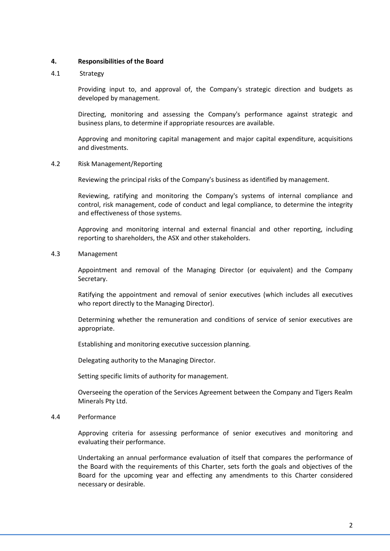# **4. Responsibilities of the Board**

## 4.1 Strategy

Providing input to, and approval of, the Company's strategic direction and budgets as developed by management.

Directing, monitoring and assessing the Company's performance against strategic and business plans, to determine if appropriate resources are available.

Approving and monitoring capital management and major capital expenditure, acquisitions and divestments.

#### 4.2 Risk Management/Reporting

Reviewing the principal risks of the Company's business as identified by management.

Reviewing, ratifying and monitoring the Company's systems of internal compliance and control, risk management, code of conduct and legal compliance, to determine the integrity and effectiveness of those systems.

Approving and monitoring internal and external financial and other reporting, including reporting to shareholders, the ASX and other stakeholders.

4.3 Management

Appointment and removal of the Managing Director (or equivalent) and the Company Secretary.

Ratifying the appointment and removal of senior executives (which includes all executives who report directly to the Managing Director).

Determining whether the remuneration and conditions of service of senior executives are appropriate.

Establishing and monitoring executive succession planning.

Delegating authority to the Managing Director.

Setting specific limits of authority for management.

Overseeing the operation of the Services Agreement between the Company and Tigers Realm Minerals Pty Ltd.

4.4 Performance

Approving criteria for assessing performance of senior executives and monitoring and evaluating their performance.

Undertaking an annual performance evaluation of itself that compares the performance of the Board with the requirements of this Charter, sets forth the goals and objectives of the Board for the upcoming year and effecting any amendments to this Charter considered necessary or desirable.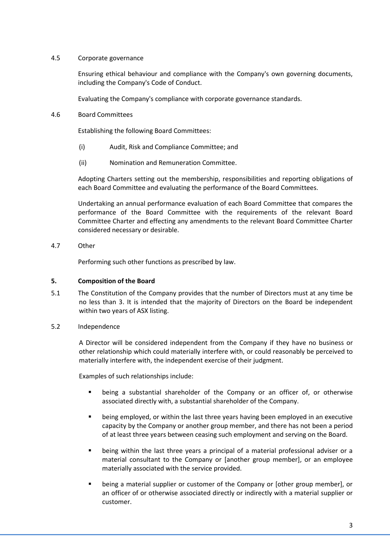# 4.5 Corporate governance

Ensuring ethical behaviour and compliance with the Company's own governing documents, including the Company's Code of Conduct.

Evaluating the Company's compliance with corporate governance standards.

4.6 Board Committees

Establishing the following Board Committees:

- (i) Audit, Risk and Compliance Committee; and
- (ii) Nomination and Remuneration Committee.

Adopting Charters setting out the membership, responsibilities and reporting obligations of each Board Committee and evaluating the performance of the Board Committees.

Undertaking an annual performance evaluation of each Board Committee that compares the performance of the Board Committee with the requirements of the relevant Board Committee Charter and effecting any amendments to the relevant Board Committee Charter considered necessary or desirable.

4.7 Other

Performing such other functions as prescribed by law.

# **5. Composition of the Board**

- 5.1 The Constitution of the Company provides that the number of Directors must at any time be no less than 3. It is intended that the majority of Directors on the Board be independent within two years of ASX listing.
- 5.2 Independence

A Director will be considered independent from the Company if they have no business or other relationship which could materially interfere with, or could reasonably be perceived to materially interfere with, the independent exercise of their judgment.

Examples of such relationships include:

- being a substantial shareholder of the Company or an officer of, or otherwise associated directly with, a substantial shareholder of the Company.
- being employed, or within the last three years having been employed in an executive capacity by the Company or another group member, and there has not been a period of at least three years between ceasing such employment and serving on the Board.
- being within the last three years a principal of a material professional adviser or a material consultant to the Company or [another group member], or an employee materially associated with the service provided.
- being a material supplier or customer of the Company or [other group member], or an officer of or otherwise associated directly or indirectly with a material supplier or customer.